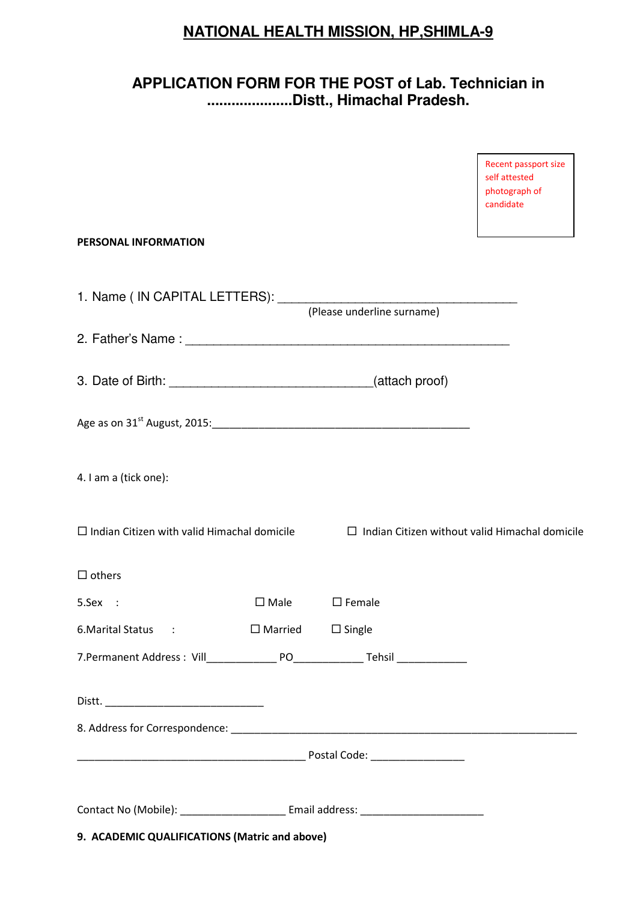# **NATIONAL HEALTH MISSION, HP,SHIMLA-9**

## **APPLICATION FORM FOR THE POST of Lab. Technician in .....................Distt., Himachal Pradesh.**

| 9. ACADEMIC QUALIFICATIONS (Matric and above)             |                |                                                       |                                                                     |
|-----------------------------------------------------------|----------------|-------------------------------------------------------|---------------------------------------------------------------------|
|                                                           |                |                                                       |                                                                     |
|                                                           |                |                                                       |                                                                     |
|                                                           |                |                                                       |                                                                     |
|                                                           |                |                                                       |                                                                     |
|                                                           |                |                                                       |                                                                     |
| 6. Marital Status                                         | $\Box$ Married | $\square$ Single                                      |                                                                     |
| 5.Sex :                                                   | $\square$ Male | $\square$ Female                                      |                                                                     |
| $\Box$ others                                             |                |                                                       |                                                                     |
| $\Box$ Indian Citizen with valid Himachal domicile        |                | $\Box$ Indian Citizen without valid Himachal domicile |                                                                     |
| 4. I am a (tick one):                                     |                |                                                       |                                                                     |
| Age as on 31 <sup>st</sup> August, 2015: 2015.            |                |                                                       |                                                                     |
|                                                           |                |                                                       |                                                                     |
|                                                           |                |                                                       |                                                                     |
| 1. Name ( IN CAPITAL LETTERS): (Please underline surname) |                |                                                       |                                                                     |
| PERSONAL INFORMATION                                      |                |                                                       |                                                                     |
|                                                           |                |                                                       | Recent passport size<br>self attested<br>photograph of<br>candidate |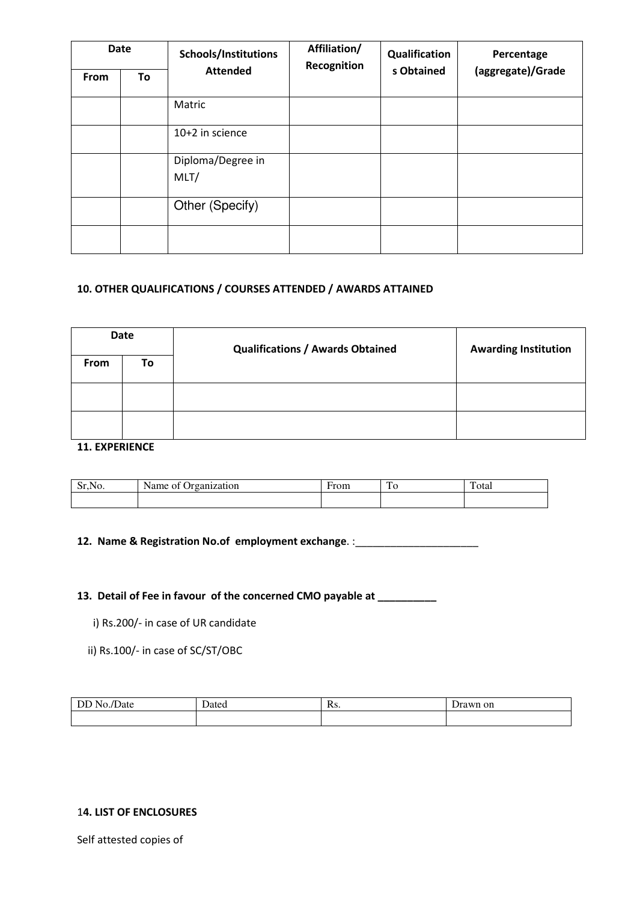|      | <b>Date</b> | Schools/Institutions      | Affiliation/<br>Recognition | Qualification | Percentage        |
|------|-------------|---------------------------|-----------------------------|---------------|-------------------|
| From | To          | <b>Attended</b>           |                             | s Obtained    | (aggregate)/Grade |
|      |             | Matric                    |                             |               |                   |
|      |             | 10+2 in science           |                             |               |                   |
|      |             | Diploma/Degree in<br>MLT/ |                             |               |                   |
|      |             | Other (Specify)           |                             |               |                   |
|      |             |                           |                             |               |                   |

### 10. OTHER QUALIFICATIONS / COURSES ATTENDED / AWARDS ATTAINED

|      | Date | <b>Qualifications / Awards Obtained</b> | <b>Awarding Institution</b> |
|------|------|-----------------------------------------|-----------------------------|
| From | To   |                                         |                             |
|      |      |                                         |                             |
|      |      |                                         |                             |

### 11. EXPERIENCE

| $C_{\bullet}$<br>NO.<br>1.10 | 1000000000<br>Name<br>zation<br>Oì | <sup>-</sup> rom | --<br>1 V | $\mathbf{r}$<br>otal |
|------------------------------|------------------------------------|------------------|-----------|----------------------|
|                              |                                    |                  |           |                      |

### 12. Name & Registration No.of employment exchange. :\_\_\_\_\_\_\_\_\_\_\_\_\_\_\_\_\_\_\_\_\_\_\_\_\_\_\_\_

### 13. Detail of Fee in favour of the concerned CMO payable at \_\_\_\_\_\_\_\_\_\_\_

- i) Rs.200/- in case of UR candidate
- ii) Rs.100/- in case of SC/ST/OBC

| œ | $\mathbf{a}$ | D<br>KS. | n on |
|---|--------------|----------|------|
|   |              |          |      |

#### 14. LIST OF ENCLOSURES

Self attested copies of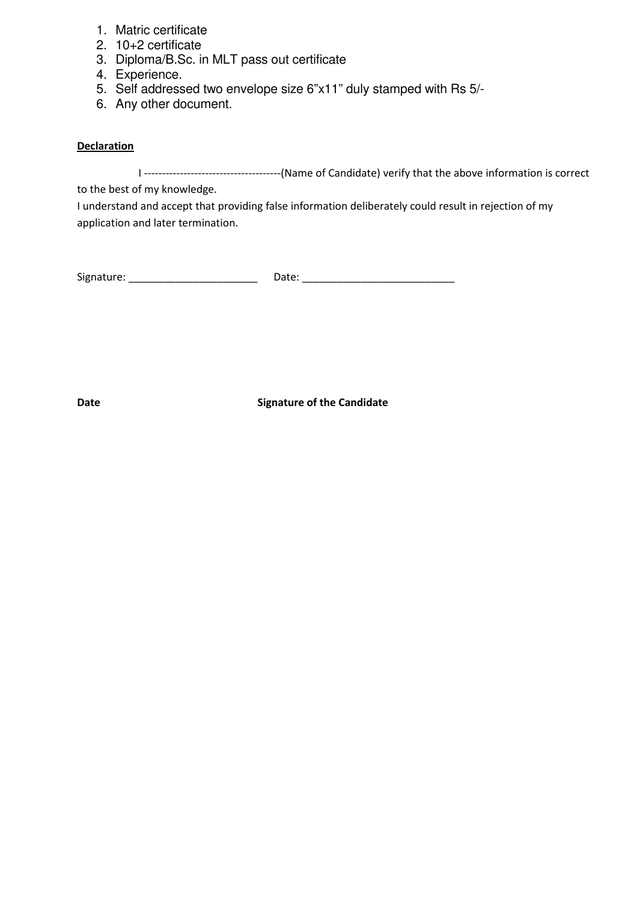- 1. Matric certificate
- 2. 10+2 certificate
- 3. Diploma/B.Sc. in MLT pass out certificate
- 4. Experience.
- 5. Self addressed two envelope size 6"x11" duly stamped with Rs 5/-
- 6. Any other document.

### **Declaration**

I --------------------------------------(Name of Candidate) verify that the above information is correct

to the best of my knowledge.

I understand and accept that providing false information deliberately could result in rejection of my application and later termination.

| Signature: | Date: |
|------------|-------|
|            |       |

Date **Signature of the Candidate**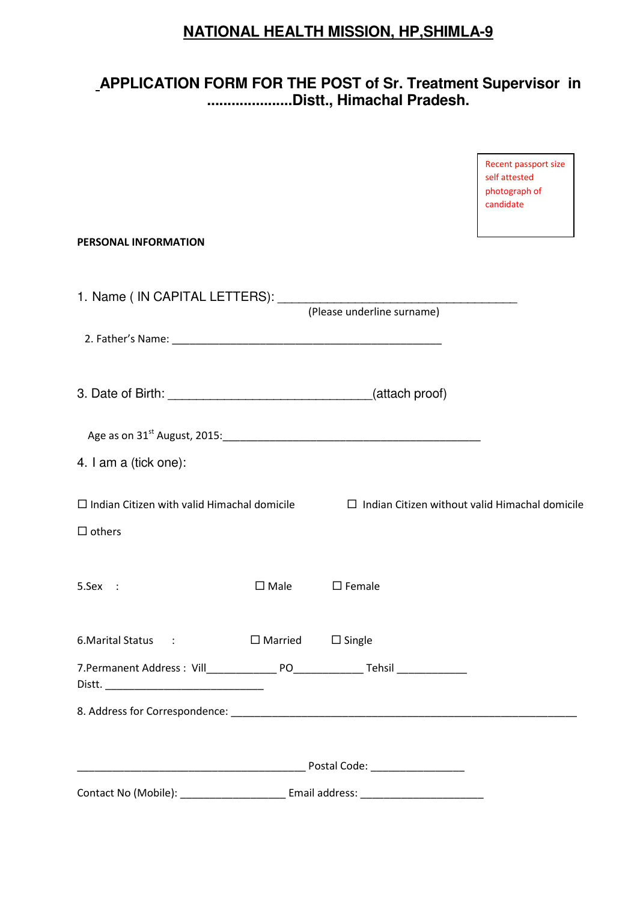# **NATIONAL HEALTH MISSION, HP,SHIMLA-9**

## **APPLICATION FORM FOR THE POST of Sr. Treatment Supervisor in .....................Distt., Himachal Pradesh.**

|                                                                     |                                    |                  | Recent passport size<br>self attested<br>photograph of<br>candidate |
|---------------------------------------------------------------------|------------------------------------|------------------|---------------------------------------------------------------------|
| PERSONAL INFORMATION                                                |                                    |                  |                                                                     |
|                                                                     |                                    |                  |                                                                     |
|                                                                     |                                    |                  |                                                                     |
|                                                                     |                                    |                  |                                                                     |
|                                                                     |                                    |                  |                                                                     |
| 4. I am a (tick one):                                               |                                    |                  |                                                                     |
| $\Box$ Indian Citizen with valid Himachal domicile<br>$\Box$ others |                                    |                  | $\Box$ Indian Citizen without valid Himachal domicile               |
| 5.Sex :                                                             | $\square$ Male                     | $\square$ Female |                                                                     |
| 6. Marital Status :                                                 | $\square$ Married $\square$ Single |                  |                                                                     |
|                                                                     |                                    |                  |                                                                     |
|                                                                     |                                    |                  |                                                                     |
|                                                                     |                                    |                  |                                                                     |
|                                                                     |                                    | Email address:   |                                                                     |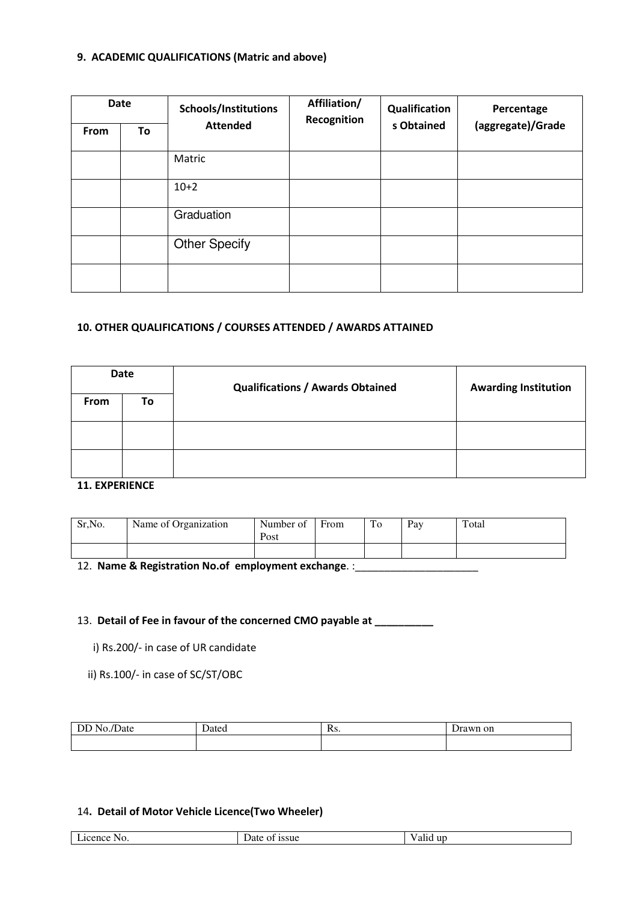### 9. ACADEMIC QUALIFICATIONS (Matric and above)

|      | <b>Date</b> | Schools/Institutions | Affiliation/<br>Recognition | Qualification | Percentage        |
|------|-------------|----------------------|-----------------------------|---------------|-------------------|
| From | To          | <b>Attended</b>      |                             | s Obtained    | (aggregate)/Grade |
|      |             | Matric               |                             |               |                   |
|      |             | $10+2$               |                             |               |                   |
|      |             | Graduation           |                             |               |                   |
|      |             | <b>Other Specify</b> |                             |               |                   |
|      |             |                      |                             |               |                   |

### 10. OTHER QUALIFICATIONS / COURSES ATTENDED / AWARDS ATTAINED

|             | Date | <b>Qualifications / Awards Obtained</b> | <b>Awarding Institution</b> |
|-------------|------|-----------------------------------------|-----------------------------|
| <b>From</b> | To   |                                         |                             |
|             |      |                                         |                             |
|             |      |                                         |                             |

### 11. EXPERIENCE

| Sr, No. | Name of Organization | Number of<br>Post | From | To | Pay | Total |
|---------|----------------------|-------------------|------|----|-----|-------|
|         |                      |                   |      |    |     |       |

12. Name & Registration No.of employment exchange. :\_\_\_\_\_\_\_\_\_\_\_\_\_\_\_\_\_\_\_\_\_\_\_\_\_\_\_\_

### 13. Detail of Fee in favour of the concerned CMO payable at \_\_\_\_\_\_\_\_\_

- i) Rs.200/- in case of UR candidate
- ii) Rs.100/- in case of SC/ST/OBC

| <b>CONTRACT</b><br>Jate<br>חצו<br>. | . | . . <i>.</i><br>172. | rawn on |
|-------------------------------------|---|----------------------|---------|
|                                     |   |                      |         |

### 14. Detail of Motor Vehicle Licence(Two Wheeler)

|  | $\mathbf{r}$<br>acence<br>NO. | $\sim$<br><i>ssue</i><br>Jat<br>$\Omega$ | up<br>anu |
|--|-------------------------------|------------------------------------------|-----------|
|--|-------------------------------|------------------------------------------|-----------|